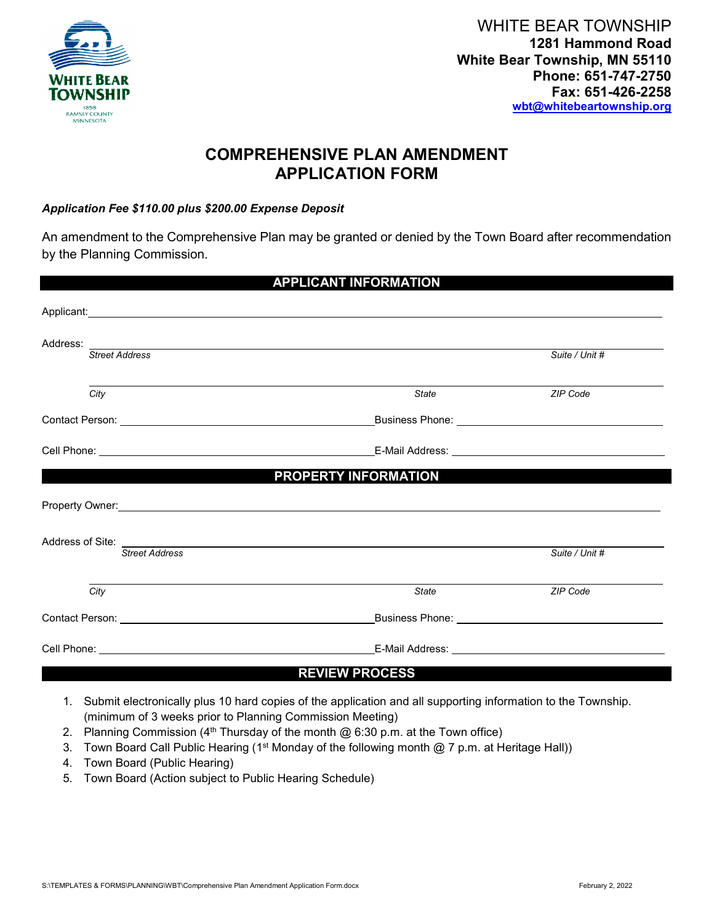

## **COMPREHENSIVE PLAN AMENDMENT APPLICATION FORM**

## *Application Fee \$110.00 plus \$200.00 Expense Deposit*

An amendment to the Comprehensive Plan may be granted or denied by the Town Board after recommendation by the Planning Commission.

| <b>APPLICANT INFORMATION</b>           |                                                 |                                                                                                                                                                                                                               |  |  |
|----------------------------------------|-------------------------------------------------|-------------------------------------------------------------------------------------------------------------------------------------------------------------------------------------------------------------------------------|--|--|
| Applicant:<br>Applicant:               |                                                 |                                                                                                                                                                                                                               |  |  |
| Address:<br><b>Street Address</b>      |                                                 | Suite / Unit #                                                                                                                                                                                                                |  |  |
|                                        |                                                 |                                                                                                                                                                                                                               |  |  |
| City                                   | <b>State</b>                                    | ZIP Code                                                                                                                                                                                                                      |  |  |
|                                        | Business Phone: _______________________________ |                                                                                                                                                                                                                               |  |  |
|                                        |                                                 |                                                                                                                                                                                                                               |  |  |
|                                        | PROPERTY INFORMATION                            |                                                                                                                                                                                                                               |  |  |
|                                        |                                                 |                                                                                                                                                                                                                               |  |  |
| Address of Site: ____________          |                                                 |                                                                                                                                                                                                                               |  |  |
| <b>Street Address</b>                  |                                                 | Suite / Unit #                                                                                                                                                                                                                |  |  |
| City                                   | <b>State</b>                                    | ZIP Code                                                                                                                                                                                                                      |  |  |
| <b>Contact Person: Contact Person:</b> |                                                 | Business Phone: National Assembly Phone 2014                                                                                                                                                                                  |  |  |
|                                        |                                                 | E-Mail Address: University of the Contract of the Contract of the Contract of the Contract of the Contract of the Contract of the Contract of the Contract of the Contract of the Contract of the Contract of the Contract of |  |  |
|                                        | <b>REVIEW PROCESS</b>                           |                                                                                                                                                                                                                               |  |  |

- 1. Submit electronically plus 10 hard copies of the application and all supporting information to the Township. (minimum of 3 weeks prior to Planning Commission Meeting)
- 2. Planning Commission ( $4<sup>th</sup>$  Thursday of the month @ 6:30 p.m. at the Town office)
- 3. Town Board Call Public Hearing (1<sup>st</sup> Monday of the following month  $@$  7 p.m. at Heritage Hall))
- 4. Town Board (Public Hearing)
- 5. Town Board (Action subject to Public Hearing Schedule)